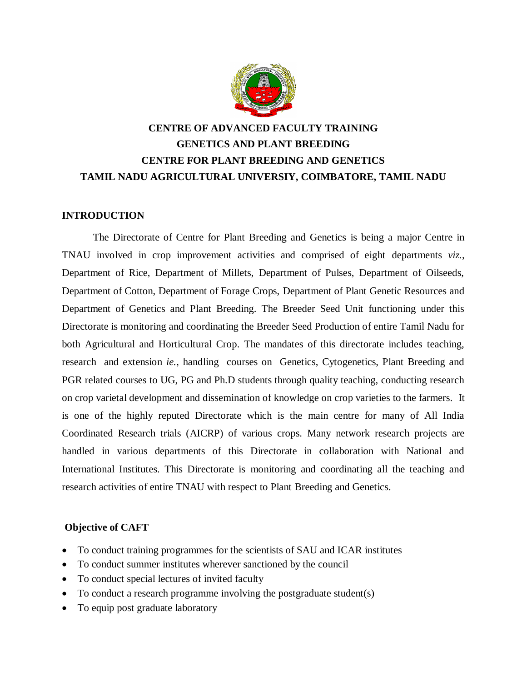

# **CENTRE OF ADVANCED FACULTY TRAINING GENETICS AND PLANT BREEDING CENTRE FOR PLANT BREEDING AND GENETICS TAMIL NADU AGRICULTURAL UNIVERSIY, COIMBATORE, TAMIL NADU**

### **INTRODUCTION**

The Directorate of Centre for Plant Breeding and Genetics is being a major Centre in TNAU involved in crop improvement activities and comprised of eight departments *viz.*, Department of Rice, Department of Millets, Department of Pulses, Department of Oilseeds, Department of Cotton, Department of Forage Crops, Department of Plant Genetic Resources and Department of Genetics and Plant Breeding. The Breeder Seed Unit functioning under this Directorate is monitoring and coordinating the Breeder Seed Production of entire Tamil Nadu for both Agricultural and Horticultural Crop. The mandates of this directorate includes teaching, research and extension *ie.,* handling courses on Genetics, Cytogenetics, Plant Breeding and PGR related courses to UG, PG and Ph.D students through quality teaching, conducting research on crop varietal development and dissemination of knowledge on crop varieties to the farmers. It is one of the highly reputed Directorate which is the main centre for many of All India Coordinated Research trials (AICRP) of various crops. Many network research projects are handled in various departments of this Directorate in collaboration with National and International Institutes. This Directorate is monitoring and coordinating all the teaching and research activities of entire TNAU with respect to Plant Breeding and Genetics.

#### **Objective of CAFT**

- To conduct training programmes for the scientists of SAU and ICAR institutes
- To conduct summer institutes wherever sanctioned by the council
- To conduct special lectures of invited faculty
- To conduct a research programme involving the postgraduate student(s)
- To equip post graduate laboratory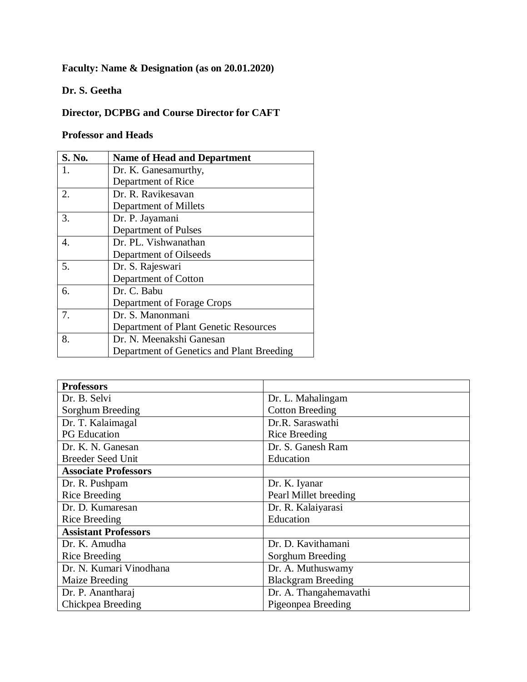# **Faculty: Name & Designation (as on 20.01.2020)**

### **Dr. S. Geetha**

# **Director, DCPBG and Course Director for CAFT**

## **Professor and Heads**

| S. No.                | <b>Name of Head and Department</b>        |
|-----------------------|-------------------------------------------|
| 1.                    | Dr. K. Ganesamurthy,                      |
|                       | Department of Rice                        |
| 2.                    | Dr. R. Ravikesavan                        |
|                       | Department of Millets                     |
| 3.                    | Dr. P. Jayamani                           |
|                       | Department of Pulses                      |
| $\mathcal{A}_{\cdot}$ | Dr. PL. Vishwanathan                      |
|                       | Department of Oilseeds                    |
| 5.                    | Dr. S. Rajeswari                          |
|                       | Department of Cotton                      |
| 6.                    | Dr. C. Babu                               |
|                       | Department of Forage Crops                |
| 7.                    | Dr. S. Manonmani                          |
|                       | Department of Plant Genetic Resources     |
| 8.                    | Dr. N. Meenakshi Ganesan                  |
|                       | Department of Genetics and Plant Breeding |

| <b>Professors</b>           |                           |  |  |
|-----------------------------|---------------------------|--|--|
| Dr. B. Selvi                | Dr. L. Mahalingam         |  |  |
| Sorghum Breeding            | <b>Cotton Breeding</b>    |  |  |
| Dr. T. Kalaimagal           | Dr.R. Saraswathi          |  |  |
| <b>PG</b> Education         | <b>Rice Breeding</b>      |  |  |
| Dr. K. N. Ganesan           | Dr. S. Ganesh Ram         |  |  |
| <b>Breeder Seed Unit</b>    | Education                 |  |  |
| <b>Associate Professors</b> |                           |  |  |
| Dr. R. Pushpam              | Dr. K. Iyanar             |  |  |
| <b>Rice Breeding</b>        | Pearl Millet breeding     |  |  |
| Dr. D. Kumaresan            | Dr. R. Kalaiyarasi        |  |  |
| <b>Rice Breeding</b>        | Education                 |  |  |
| <b>Assistant Professors</b> |                           |  |  |
| Dr. K. Amudha               | Dr. D. Kavithamani        |  |  |
| Rice Breeding               | Sorghum Breeding          |  |  |
| Dr. N. Kumari Vinodhana     | Dr. A. Muthuswamy         |  |  |
| Maize Breeding              | <b>Blackgram Breeding</b> |  |  |
| Dr. P. Anantharaj           | Dr. A. Thangahemavathi    |  |  |
| Chickpea Breeding           | Pigeonpea Breeding        |  |  |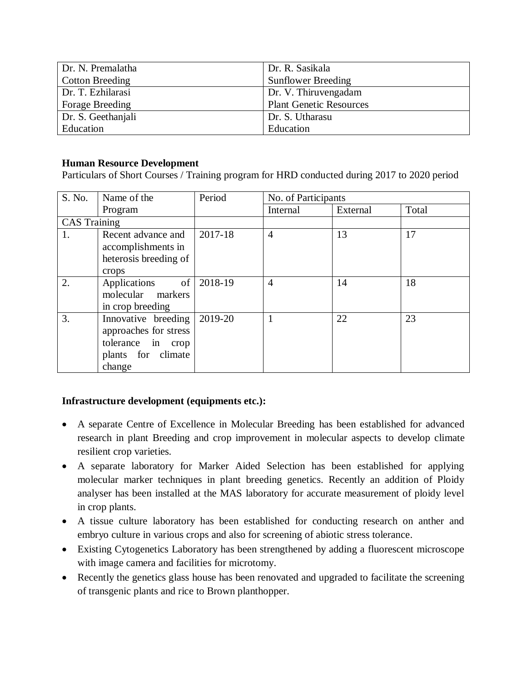| Dr. N. Premalatha      | Dr. R. Sasikala                |
|------------------------|--------------------------------|
| <b>Cotton Breeding</b> | <b>Sunflower Breeding</b>      |
| Dr. T. Ezhilarasi      | Dr. V. Thiruvengadam           |
| <b>Forage Breeding</b> | <b>Plant Genetic Resources</b> |
| Dr. S. Geethanjali     | Dr. S. Utharasu                |
| Education              | Education                      |

#### **Human Resource Development**

Particulars of Short Courses / Training program for HRD conducted during 2017 to 2020 period

| S. No.              | Name of the           | Period     | No. of Participants |          |       |
|---------------------|-----------------------|------------|---------------------|----------|-------|
|                     | Program               |            | Internal            | External | Total |
| <b>CAS</b> Training |                       |            |                     |          |       |
| 1.                  | Recent advance and    | 2017-18    | $\overline{4}$      | 13       | 17    |
|                     | accomplishments in    |            |                     |          |       |
|                     | heterosis breeding of |            |                     |          |       |
|                     | crops                 |            |                     |          |       |
| 2.                  | Applications          | of 2018-19 | $\overline{4}$      | 14       | 18    |
|                     | molecular markers     |            |                     |          |       |
|                     | in crop breeding      |            |                     |          |       |
| 3.                  | Innovative breeding   | 2019-20    |                     | 22       | 23    |
|                     | approaches for stress |            |                     |          |       |
|                     | tolerance in crop     |            |                     |          |       |
|                     | plants for climate    |            |                     |          |       |
|                     | change                |            |                     |          |       |

#### **Infrastructure development (equipments etc.):**

- A separate Centre of Excellence in Molecular Breeding has been established for advanced research in plant Breeding and crop improvement in molecular aspects to develop climate resilient crop varieties.
- A separate laboratory for Marker Aided Selection has been established for applying molecular marker techniques in plant breeding genetics. Recently an addition of Ploidy analyser has been installed at the MAS laboratory for accurate measurement of ploidy level in crop plants.
- A tissue culture laboratory has been established for conducting research on anther and embryo culture in various crops and also for screening of abiotic stress tolerance.
- Existing Cytogenetics Laboratory has been strengthened by adding a fluorescent microscope with image camera and facilities for microtomy.
- Recently the genetics glass house has been renovated and upgraded to facilitate the screening of transgenic plants and rice to Brown planthopper.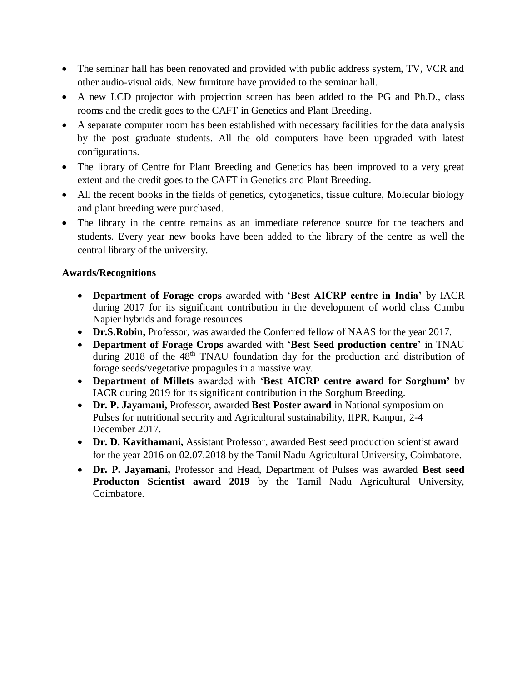- The seminar hall has been renovated and provided with public address system, TV, VCR and other audio-visual aids. New furniture have provided to the seminar hall.
- A new LCD projector with projection screen has been added to the PG and Ph.D., class rooms and the credit goes to the CAFT in Genetics and Plant Breeding.
- A separate computer room has been established with necessary facilities for the data analysis by the post graduate students. All the old computers have been upgraded with latest configurations.
- The library of Centre for Plant Breeding and Genetics has been improved to a very great extent and the credit goes to the CAFT in Genetics and Plant Breeding.
- All the recent books in the fields of genetics, cytogenetics, tissue culture, Molecular biology and plant breeding were purchased.
- The library in the centre remains as an immediate reference source for the teachers and students. Every year new books have been added to the library of the centre as well the central library of the university.

### **Awards/Recognitions**

- **Department of Forage crops** awarded with '**Best AICRP centre in India'** by IACR during 2017 for its significant contribution in the development of world class Cumbu Napier hybrids and forage resources
- **Dr.S.Robin,** Professor, was awarded the Conferred fellow of NAAS for the year 2017.
- **Department of Forage Crops** awarded with '**Best Seed production centre**' in TNAU during 2018 of the 48<sup>th</sup> TNAU foundation day for the production and distribution of forage seeds/vegetative propagules in a massive way.
- **Department of Millets** awarded with '**Best AICRP centre award for Sorghum'** by IACR during 2019 for its significant contribution in the Sorghum Breeding.
- **Dr. P. Jayamani,** Professor, awarded **Best Poster award** in National symposium on Pulses for nutritional security and Agricultural sustainability, IIPR, Kanpur, 2-4 December 2017.
- **Dr. D. Kavithamani,** Assistant Professor, awarded Best seed production scientist award for the year 2016 on 02.07.2018 by the Tamil Nadu Agricultural University, Coimbatore.
- **Dr. P. Jayamani,** Professor and Head, Department of Pulses was awarded **Best seed Producton Scientist award 2019** by the Tamil Nadu Agricultural University, Coimbatore.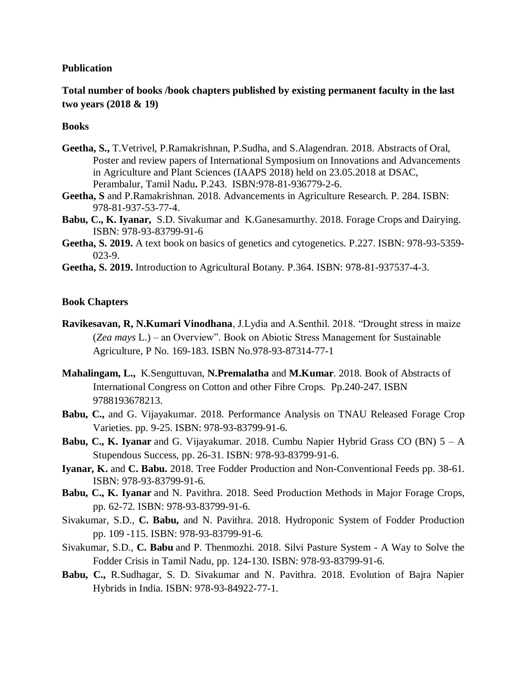#### **Publication**

**Total number of books /book chapters published by existing permanent faculty in the last two years (2018 & 19)**

#### **Books**

- **Geetha, S.,** T.Vetrivel, P.Ramakrishnan, P.Sudha, and S.Alagendran. 2018. Abstracts of Oral, Poster and review papers of International Symposium on Innovations and Advancements in Agriculture and Plant Sciences (IAAPS 2018) held on 23.05.2018 at DSAC, Perambalur, Tamil Nadu**.** P.243. ISBN:978-81-936779-2-6.
- **Geetha, S** and P.Ramakrishnan. 2018. Advancements in Agriculture Research. P. 284. ISBN: 978-81-937-53-77-4.
- **Babu, C., K. Iyanar,** S.D. Sivakumar and K.Ganesamurthy. 2018. Forage Crops and Dairying. ISBN: 978-93-83799-91-6
- **Geetha, S. 2019.** A text book on basics of genetics and cytogenetics. P.227. ISBN: 978-93-5359- 023-9.
- **Geetha, S. 2019.** Introduction to Agricultural Botany. P.364. ISBN: 978-81-937537-4-3.

#### **Book Chapters**

- **Ravikesavan, R, N.Kumari Vinodhana**, J.Lydia and A.Senthil. 2018. "Drought stress in maize (*Zea mays* L.) – an Overview". Book on Abiotic Stress Management for Sustainable Agriculture, P No. 169-183. ISBN No.978-93-87314-77-1
- **Mahalingam, L.,** K.Senguttuvan, **N.Premalatha** and **M.Kumar**. 2018. Book of Abstracts of International Congress on Cotton and other Fibre Crops. Pp.240-247. ISBN 9788193678213.
- **Babu, C.,** and G. Vijayakumar. 2018. Performance Analysis on TNAU Released Forage Crop Varieties. pp. 9-25. ISBN: 978-93-83799-91-6.
- **Babu, C., K. Iyanar** and G. Vijayakumar. 2018. Cumbu Napier Hybrid Grass CO (BN) 5 A Stupendous Success, pp. 26-31. ISBN: 978-93-83799-91-6.
- **Iyanar, K.** and **C. Babu.** 2018. Tree Fodder Production and Non-Conventional Feeds pp. 38-61. ISBN: 978-93-83799-91-6.
- **Babu, C., K. Iyanar** and N. Pavithra. 2018. Seed Production Methods in Major Forage Crops, pp. 62-72. ISBN: 978-93-83799-91-6.
- Sivakumar, S.D., **C. Babu,** and N. Pavithra. 2018. Hydroponic System of Fodder Production pp. 109 -115. ISBN: 978-93-83799-91-6.
- Sivakumar, S.D., **C. Babu** and P. Thenmozhi. 2018. Silvi Pasture System A Way to Solve the Fodder Crisis in Tamil Nadu, pp. 124-130. ISBN: 978-93-83799-91-6.
- **Babu, C.,** R.Sudhagar, S. D. Sivakumar and N. Pavithra. 2018. Evolution of Bajra Napier Hybrids in India. ISBN: 978-93-84922-77-1.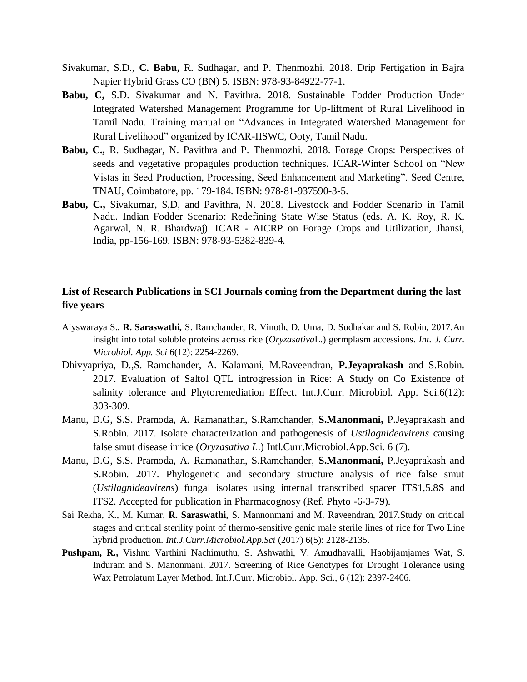- Sivakumar, S.D., **C. Babu,** R. Sudhagar, and P. Thenmozhi. 2018. Drip Fertigation in Bajra Napier Hybrid Grass CO (BN) 5. ISBN: 978-93-84922-77-1.
- **Babu, C,** S.D. Sivakumar and N. Pavithra. 2018. Sustainable Fodder Production Under Integrated Watershed Management Programme for Up-liftment of Rural Livelihood in Tamil Nadu. Training manual on "Advances in Integrated Watershed Management for Rural Livelihood" organized by ICAR-IISWC, Ooty, Tamil Nadu.
- **Babu, C.,** R. Sudhagar, N. Pavithra and P. Thenmozhi. 2018. Forage Crops: Perspectives of seeds and vegetative propagules production techniques. ICAR-Winter School on "New Vistas in Seed Production, Processing, Seed Enhancement and Marketing". Seed Centre, TNAU, Coimbatore, pp. 179-184. ISBN: 978-81-937590-3-5.
- **Babu, C.,** Sivakumar, S,D, and Pavithra, N. 2018. Livestock and Fodder Scenario in Tamil Nadu. Indian Fodder Scenario: Redefining State Wise Status (eds. A. K. Roy, R. K. Agarwal, N. R. Bhardwaj). ICAR - AICRP on Forage Crops and Utilization, Jhansi, India, pp-156-169. ISBN: 978-93-5382-839-4.

#### **List of Research Publications in SCI Journals coming from the Department during the last five years**

- Aiyswaraya S., **R. Saraswathi,** S. Ramchander, R. Vinoth, D. Uma, D. Sudhakar and S. Robin, 2017.An insight into total soluble proteins across rice (*Oryzasativa*L.) germplasm accessions. *Int. J. Curr. Microbiol. App. Sci* 6(12): 2254-2269.
- Dhivyapriya, D.,S. Ramchander, A. Kalamani, M.Raveendran, **P.Jeyaprakash** and S.Robin. 2017. Evaluation of Saltol QTL introgression in Rice: A Study on Co Existence of salinity tolerance and Phytoremediation Effect. Int.J.Curr. Microbiol. App. Sci.6(12): 303-309.
- Manu, D.G, S.S. Pramoda, A. Ramanathan, S.Ramchander, **S.Manonmani,** P.Jeyaprakash and S.Robin. 2017. Isolate characterization and pathogenesis of *Ustilagnideavirens* causing false smut disease inrice (*Oryzasativa L*.) Intl.Curr.Microbiol.App.Sci. 6 (7).
- Manu, D.G, S.S. Pramoda, A. Ramanathan, S.Ramchander, **S.Manonmani,** P.Jeyaprakash and S.Robin. 2017. Phylogenetic and secondary structure analysis of rice false smut (*Ustilagnideavirens*) fungal isolates using internal transcribed spacer ITS1,5.8S and ITS2. Accepted for publication in Pharmacognosy (Ref. Phyto -6-3-79).
- Sai Rekha, K., M. Kumar, **R. Saraswathi,** S. Mannonmani and M. Raveendran, 2017.Study on critical stages and critical sterility point of thermo-sensitive genic male sterile lines of rice for Two Line hybrid production. *Int.J.Curr.Microbiol.App.Sci* (2017) 6(5): 2128-2135.
- **Pushpam, R.,** Vishnu Varthini Nachimuthu, S. Ashwathi, V. Amudhavalli, Haobijamjames Wat, S. Induram and S. Manonmani. 2017. Screening of Rice Genotypes for Drought Tolerance using Wax Petrolatum Layer Method. Int.J.Curr. Microbiol. App. Sci., 6 (12): 2397-2406.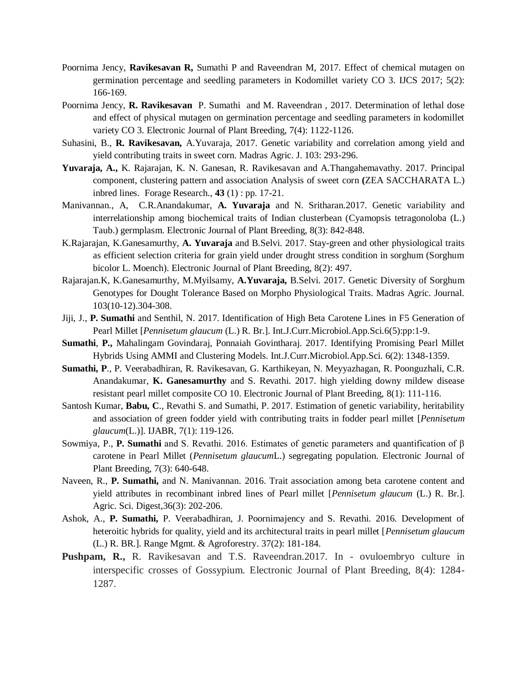- Poornima Jency, **Ravikesavan R,** Sumathi P and Raveendran M, 2017. Effect of chemical mutagen on germination percentage and seedling parameters in Kodomillet variety CO 3. IJCS 2017; 5(2): 166-169.
- Poornima Jency, **R. Ravikesavan** P. Sumathi and M. Raveendran , 2017. Determination of lethal dose and effect of physical mutagen on germination percentage and seedling parameters in kodomillet variety CO 3. Electronic Journal of Plant Breeding, 7(4): 1122-1126.
- Suhasini, B., **R. Ravikesavan,** A.Yuvaraja, 2017. Genetic variability and correlation among yield and yield contributing traits in sweet corn. Madras Agric. J. 103: 293-296.
- **Yuvaraja, A.,** K. Rajarajan, K. N. Ganesan, R. Ravikesavan and A.Thangahemavathy. 2017. Principal component, clustering pattern and association Analysis of sweet corn **(**ZEA SACCHARATA L.) inbred lines. Forage Research., **43** (1) : pp. 17-21.
- Manivannan., A, C.R.Anandakumar, **A. Yuvaraja** and N. Sritharan.2017. Genetic variability and interrelationship among biochemical traits of Indian clusterbean (Cyamopsis tetragonoloba (L.) Taub.) germplasm. Electronic Journal of Plant Breeding, 8(3): 842-848.
- K.Rajarajan, K.Ganesamurthy, **A. Yuvaraja** and B.Selvi. 2017. Stay-green and other physiological traits as efficient selection criteria for grain yield under drought stress condition in sorghum (Sorghum bicolor L. Moench). Electronic Journal of Plant Breeding, 8(2): 497.
- Rajarajan.K, K.Ganesamurthy, M.Myilsamy, **A.Yuvaraja,** B.Selvi. 2017. Genetic Diversity of Sorghum Genotypes for Dought Tolerance Based on Morpho Physiological Traits. Madras Agric. Journal. 103(10-12).304-308.
- Jiji, J., **P. Sumathi** and Senthil, N. 2017. Identification of High Beta Carotene Lines in F5 Generation of Pearl Millet [*Pennisetum glaucum* (L.) R. Br.]. Int.J.Curr.Microbiol.App.Sci.6(5):pp:1-9.
- **Sumathi**, **P.,** Mahalingam Govindaraj, Ponnaiah Govintharaj. 2017. Identifying Promising Pearl Millet Hybrids Using AMMI and Clustering Models. Int.J.Curr.Microbiol.App.Sci. 6(2): 1348-1359.
- **Sumathi, P**., P. Veerabadhiran, R. Ravikesavan, G. Karthikeyan, N. Meyyazhagan, R. Poonguzhali, C.R. Anandakumar, **K. Ganesamurthy** and S. Revathi. 2017. high yielding downy mildew disease resistant pearl millet composite CO 10. Electronic Journal of Plant Breeding, 8(1): 111-116.
- Santosh Kumar, **Babu, C**., Revathi S. and Sumathi, P. 2017. Estimation of genetic variability, heritability and association of green fodder yield with contributing traits in fodder pearl millet [*Pennisetum glaucum*(L.)]. IJABR, 7(1): 119-126.
- Sowmiya, P., **P. Sumathi** and S. Revathi. 2016. Estimates of genetic parameters and quantification of β carotene in Pearl Millet (*Pennisetum glaucum*L.) segregating population. Electronic Journal of Plant Breeding, 7(3): 640-648.
- Naveen, R., **P. Sumathi,** and N. Manivannan. 2016. Trait association among beta carotene content and yield attributes in recombinant inbred lines of Pearl millet [*Pennisetum glaucum* (L.) R. Br.]. Agric. Sci. Digest,36(3): 202-206.
- Ashok, A., **P. Sumathi,** P. Veerabadhiran, J. Poornimajency and S. Revathi. 2016. Development of heteroitic hybrids for quality, yield and its architectural traits in pearl millet [*Pennisetum glaucum* (L.) R. BR.]. Range Mgmt. & Agroforestry. 37(2): 181-184.
- **Pushpam, R.,** R. Ravikesavan and T.S. Raveendran.2017. In ovuloembryo culture in interspecific crosses of Gossypium. Electronic Journal of Plant Breeding, 8(4): 1284- 1287.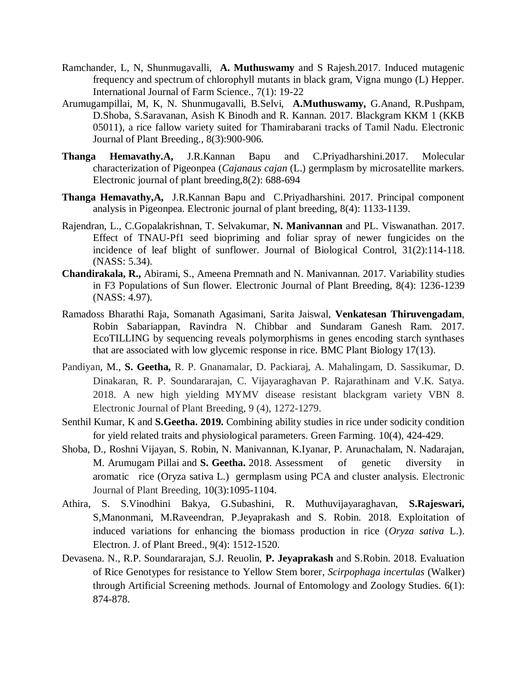- Ramchander, L, N, Shunmugavalli, **A. Muthuswamy** and S Rajesh.2017. Induced mutagenic frequency and spectrum of chlorophyll mutants in black gram, Vigna mungo (L) Hepper. International Journal of Farm Science., 7(1): 19-22
- Arumugampillai, M, K, N. Shunmugavalli, B.Selvi, **A.Muthuswamy,** G.Anand, R.Pushpam, D.Shoba, S.Saravanan, Asish K Binodh and R. Kannan. 2017. Blackgram KKM 1 (KKB 05011), a rice fallow variety suited for Thamirabarani tracks of Tamil Nadu. Electronic Journal of Plant Breeding., 8(3):900-906.
- **Thanga Hemavathy.A,** J.R.Kannan Bapu and C.Priyadharshini.2017. Molecular characterization of Pigeonpea (*Cajanaus cajan* (L.) germplasm by microsatellite markers. Electronic journal of plant breeding,8(2): 688-694
- **Thanga Hemavathy,A,** J.R.Kannan Bapu and C.Priyadharshini. 2017. Principal component analysis in Pigeonpea. Electronic journal of plant breeding, 8(4): 1133-1139.
- Rajendran, L., C.Gopalakrishnan, T. Selvakumar, **N. Manivannan** and PL. Viswanathan. 2017. Effect of TNAU-Pf1 seed biopriming and foliar spray of newer fungicides on the incidence of leaf blight of sunflower. Journal of Biological Control, 31(2):114-118. (NASS: 5.34).
- **Chandirakala, R.,** Abirami, S., Ameena Premnath and N. Manivannan. 2017. Variability studies in F3 Populations of Sun flower. Electronic Journal of Plant Breeding, 8(4): 1236-1239 (NASS: 4.97).
- Ramadoss Bharathi Raja, Somanath Agasimani, Sarita Jaiswal, **Venkatesan Thiruvengadam**, Robin Sabariappan, Ravindra N. Chibbar and Sundaram Ganesh Ram. 2017. EcoTILLING by sequencing reveals polymorphisms in genes encoding starch synthases that are associated with low glycemic response in rice. BMC Plant Biology 17(13).
- Pandiyan, M., **S. Geetha,** R. P. Gnanamalar, D. Packiaraj, A. Mahalingam, D. Sassikumar, D. Dinakaran, R. P. Soundararajan, C. Vijayaraghavan P. Rajarathinam and V.K. Satya. 2018. A new high yielding MYMV disease resistant blackgram variety VBN 8. Electronic Journal of Plant Breeding, 9 (4), 1272-1279.
- Senthil Kumar, K and **S.Geetha. 2019.** Combining ability studies in rice under sodicity condition for yield related traits and physiological parameters. Green Farming. 10(4), 424-429.
- Shoba, D., Roshni Vijayan, S. Robin, N. Manivannan, K.Iyanar, P. Arunachalam, N. Nadarajan, M. Arumugam Pillai and **S. Geetha.** 2018. Assessment of genetic diversity in aromatic rice (Oryza sativa L.) germplasm using PCA and cluster analysis. Electronic Journal of Plant Breeding, 10(3):1095-1104.
- Athira, S. S.Vinodhini Bakya, G.Subashini, R. Muthuvijayaraghavan, **S.Rajeswari,**  S,Manonmani, M.Raveendran, P.Jeyaprakash and S. Robin. 2018. Exploitation of induced variations for enhancing the biomass production in rice (*Oryza sativa* L.). Electron. J. of Plant Breed., 9(4): 1512-1520.
- Devasena. N., R.P. Soundararajan, S.J. Reuolin, **P. Jeyaprakash** and S.Robin. 2018. Evaluation of Rice Genotypes for resistance to Yellow Stem borer, *Scirpophaga incertulas* (Walker) through Artificial Screening methods. Journal of Entomology and Zoology Studies. 6(1): 874-878.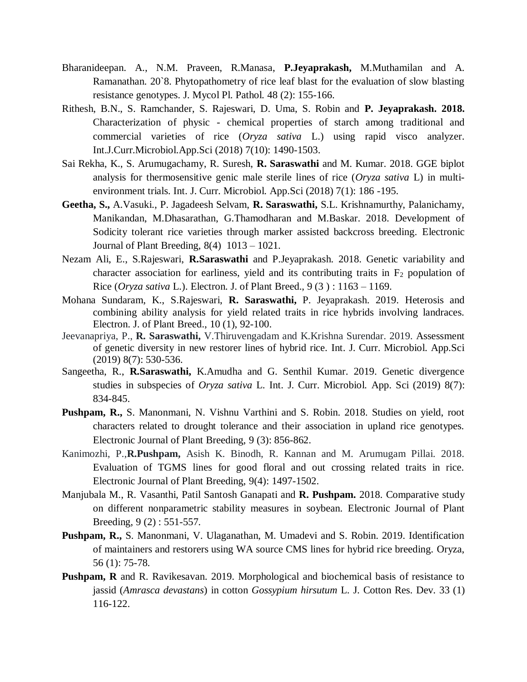- Bharanideepan. A., N.M. Praveen, R.Manasa, **P.Jeyaprakash,** M.Muthamilan and A. Ramanathan. 20`8. Phytopathometry of rice leaf blast for the evaluation of slow blasting resistance genotypes. J. Mycol Pl. Pathol. 48 (2): 155-166.
- Rithesh, B.N., S. Ramchander, S. Rajeswari, D. Uma, S. Robin and **P. Jeyaprakash. 2018.**  Characterization of physic - chemical properties of starch among traditional and commercial varieties of rice (*Oryza sativa* L.) using rapid visco analyzer. Int.J.Curr.Microbiol.App.Sci (2018) 7(10): 1490-1503.
- Sai Rekha, K., S. Arumugachamy, R. Suresh, **R. Saraswathi** and M. Kumar. 2018. GGE biplot analysis for thermosensitive genic male sterile lines of rice (*Oryza sativa* L) in multienvironment trials. Int. J. Curr. Microbiol. App.Sci (2018) 7(1): 186 -195.
- **Geetha, S.,** A.Vasuki., P. Jagadeesh Selvam, **R. Saraswathi,** S.L. Krishnamurthy, Palanichamy, Manikandan, M.Dhasarathan, G.Thamodharan and M.Baskar. 2018. Development of Sodicity tolerant rice varieties through marker assisted backcross breeding. Electronic Journal of Plant Breeding, 8(4) 1013 – 1021.
- Nezam Ali, E., S.Rajeswari, **R.Saraswathi** and P.Jeyaprakash. 2018. Genetic variability and character association for earliness, yield and its contributing traits in  $F_2$  population of Rice (*Oryza sativa* L.). Electron. J. of Plant Breed., 9 (3 ) : 1163 – 1169.
- Mohana Sundaram, K., S.Rajeswari, **R. Saraswathi,** P. Jeyaprakash. 2019. Heterosis and combining ability analysis for yield related traits in rice hybrids involving landraces. Electron. J. of Plant Breed., 10 (1), 92-100.
- Jeevanapriya, P., **R. Saraswathi,** V.Thiruvengadam and K.Krishna Surendar. 2019. Assessment of genetic diversity in new restorer lines of hybrid rice. Int. J. Curr. Microbiol. App.Sci (2019) 8(7): 530-536.
- Sangeetha, R., **R.Saraswathi,** K.Amudha and G. Senthil Kumar. 2019. Genetic divergence studies in subspecies of *Oryza sativa* L. Int. J. Curr. Microbiol. App. Sci (2019) 8(7): 834-845.
- **Pushpam, R.,** S. Manonmani, N. Vishnu Varthini and S. Robin. 2018. Studies on yield, root characters related to drought tolerance and their association in upland rice genotypes. Electronic Journal of Plant Breeding, 9 (3): 856-862.
- Kanimozhi, P.,**R.Pushpam,** Asish K. Binodh, R. Kannan and M. Arumugam Pillai. 2018. Evaluation of TGMS lines for good floral and out crossing related traits in rice. Electronic Journal of Plant Breeding, 9(4): 1497-1502.
- Manjubala M., R. Vasanthi, Patil Santosh Ganapati and **R. Pushpam.** 2018. Comparative study on different nonparametric stability measures in soybean. Electronic Journal of Plant Breeding, 9 (2) : 551-557.
- **Pushpam, R.,** S. Manonmani, V. Ulaganathan, M. Umadevi and S. Robin. 2019. Identification of maintainers and restorers using WA source CMS lines for hybrid rice breeding. Oryza, 56 (1): 75-78.
- **Pushpam, R** and R. Ravikesavan. 2019. Morphological and biochemical basis of resistance to jassid (*Amrasca devastans*) in cotton *Gossypium hirsutum* L. J. Cotton Res. Dev. 33 (1) 116-122.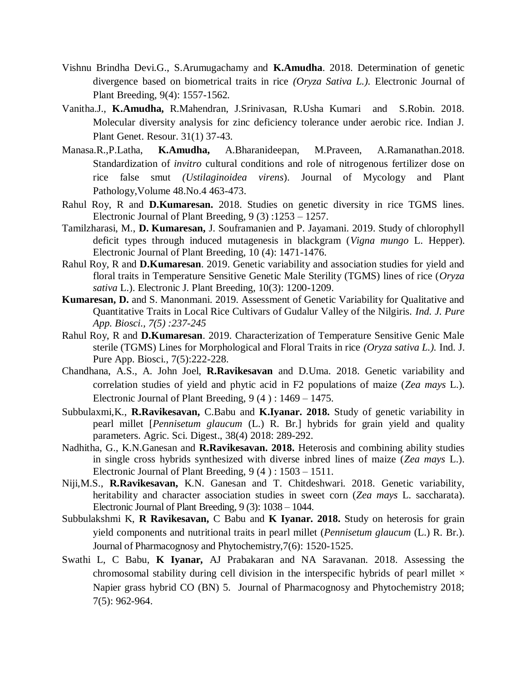- Vishnu Brindha Devi.G., S.Arumugachamy and **K.Amudha**. 2018. Determination of genetic divergence based on biometrical traits in rice *(Oryza Sativa L.).* Electronic Journal of Plant Breeding, 9(4): 1557-1562.
- Vanitha.J., **K.Amudha,** R.Mahendran, J.Srinivasan, R.Usha Kumari and S.Robin. 2018. Molecular diversity analysis for zinc deficiency tolerance under aerobic rice. Indian J. Plant Genet. Resour. 31(1) 37-43.
- Manasa.R.,P.Latha, **K.Amudha,** A.Bharanideepan, M.Praveen, A.Ramanathan.2018. Standardization of *invitro* cultural conditions and role of nitrogenous fertilizer dose on rice false smut *(Ustilaginoidea virens*). Journal of Mycology and Plant Pathology,Volume 48.No.4 463-473.
- Rahul Roy, R and **D.Kumaresan.** 2018. Studies on genetic diversity in rice TGMS lines. Electronic Journal of Plant Breeding, 9 (3) :1253 – 1257.
- Tamilzharasi, M., **D. Kumaresan,** J. Souframanien and P. Jayamani. 2019. Study of chlorophyll deficit types through induced mutagenesis in blackgram (*Vigna mungo* L. Hepper). Electronic Journal of Plant Breeding, 10 (4): 1471-1476.
- Rahul Roy, R and **D.Kumaresan**. 2019. Genetic variability and association studies for yield and floral traits in Temperature Sensitive Genetic Male Sterility (TGMS) lines of rice (*Oryza sativa* L.). Electronic J. Plant Breeding, 10(3): 1200-1209.
- **Kumaresan, D.** and S. Manonmani. 2019. Assessment of Genetic Variability for Qualitative and Quantitative Traits in Local Rice Cultivars of Gudalur Valley of the Nilgiris. *Ind. J. Pure App. Biosci., 7(5) :237-245*
- Rahul Roy, R and **D.Kumaresan**. 2019. Characterization of Temperature Sensitive Genic Male sterile (TGMS) Lines for Morphological and Floral Traits in rice *(Oryza sativa L.).* Ind. J. Pure App. Biosci., 7(5):222-228.
- Chandhana, A.S., A. John Joel, **R.Ravikesavan** and D.Uma. 2018. Genetic variability and correlation studies of yield and phytic acid in F2 populations of maize (*Zea mays* L.). Electronic Journal of Plant Breeding, 9 (4 ) : 1469 – 1475.
- Subbulaxmi,K., **R.Ravikesavan,** C.Babu and **K.Iyanar. 2018.** Study of genetic variability in pearl millet [*Pennisetum glaucum* (L.) R. Br.] hybrids for grain yield and quality parameters. Agric. Sci. Digest., 38(4) 2018: 289-292.
- Nadhitha, G., K.N.Ganesan and **R.Ravikesavan. 2018.** Heterosis and combining ability studies in single cross hybrids synthesized with diverse inbred lines of maize (*Zea mays* L.). Electronic Journal of Plant Breeding, 9 (4 ) : 1503 – 1511.
- Niji,M.S., **R.Ravikesavan,** K.N. Ganesan and T. Chitdeshwari. 2018. Genetic variability, heritability and character association studies in sweet corn (*Zea mays* L. saccharata). Electronic Journal of Plant Breeding, 9 (3): 1038 – 1044.
- Subbulakshmi K, **R Ravikesavan,** C Babu and **K Iyanar. 2018.** Study on heterosis for grain yield components and nutritional traits in pearl millet (*Pennisetum glaucum* (L.) R. Br.). Journal of Pharmacognosy and Phytochemistry,7(6): 1520-1525.
- Swathi L, C Babu, **K Iyanar,** AJ Prabakaran and NA Saravanan. 2018. Assessing the chromosomal stability during cell division in the interspecific hybrids of pearl millet  $\times$ Napier grass hybrid CO (BN) 5. Journal of Pharmacognosy and Phytochemistry 2018; 7(5): 962-964.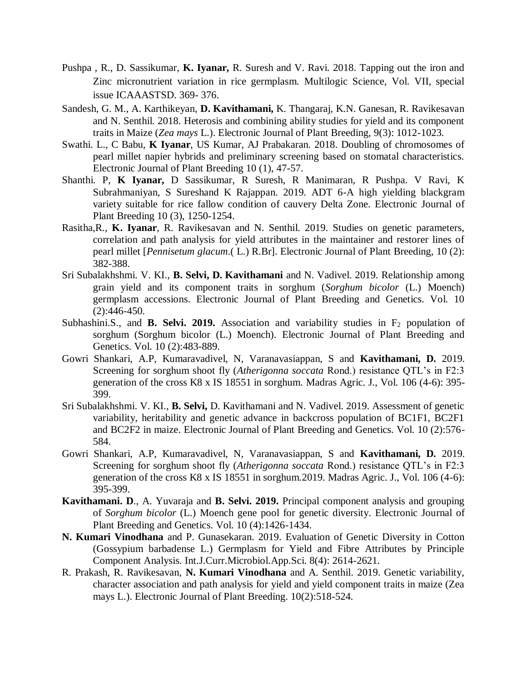- Pushpa , R., D. Sassikumar, **K. Iyanar,** R. Suresh and V. Ravi. 2018. Tapping out the iron and Zinc micronutrient variation in rice germplasm. Multilogic Science, Vol. VII, special issue ICAAASTSD. 369- 376.
- Sandesh, G. M., A. Karthikeyan, **D. Kavithamani,** K. Thangaraj, K.N. Ganesan, R. Ravikesavan and N. Senthil. 2018. Heterosis and combining ability studies for yield and its component traits in Maize (*Zea mays* L.). Electronic Journal of Plant Breeding, 9(3): 1012-1023.
- Swathi. L., C Babu, **K Iyanar**, US Kumar, AJ Prabakaran. 2018. Doubling of chromosomes of pearl millet napier hybrids and preliminary screening based on stomatal characteristics. Electronic Journal of Plant Breeding 10 (1), 47-57.
- Shanthi. P, **K Iyanar,** D Sassikumar, R Suresh, R Manimaran, R Pushpa. V Ravi, K Subrahmaniyan, S Sureshand K Rajappan. 2019. ADT 6-A high yielding blackgram variety suitable for rice fallow condition of cauvery Delta Zone. Electronic Journal of Plant Breeding 10 (3), 1250-1254.
- Rasitha,R., **K. Iyanar**, R. Ravikesavan and N. Senthil. 2019. Studies on genetic parameters, correlation and path analysis for yield attributes in the maintainer and restorer lines of pearl millet [*Pennisetum glacum*.( L.) R.Br]. Electronic Journal of Plant Breeding, 10 (2): 382-388.
- Sri Subalakhshmi. V. KI., **B. Selvi, D. Kavithamani** and N. Vadivel. 2019. Relationship among grain yield and its component traits in sorghum (*Sorghum bicolor* (L.) Moench) germplasm accessions. Electronic Journal of Plant Breeding and Genetics. Vol. 10 (2):446-450.
- Subhashini.S., and **B. Selvi. 2019.** Association and variability studies in F<sub>2</sub> population of sorghum (Sorghum bicolor (L.) Moench). Electronic Journal of Plant Breeding and Genetics. Vol. 10 (2):483-889.
- Gowri Shankari, A.P, Kumaravadivel, N, Varanavasiappan, S and **Kavithamani, D.** 2019. Screening for sorghum shoot fly (*Atherigonna soccata* Rond.) resistance QTL's in F2:3 generation of the cross K8 x IS 18551 in sorghum. Madras Agric. J., Vol. 106 (4-6): 395- 399.
- Sri Subalakhshmi. V. KI., **B. Selvi,** D. Kavithamani and N. Vadivel. 2019. Assessment of genetic variability, heritability and genetic advance in backcross population of BC1F1, BC2F1 and BC2F2 in maize. Electronic Journal of Plant Breeding and Genetics. Vol. 10 (2):576- 584.
- Gowri Shankari, A.P, Kumaravadivel, N, Varanavasiappan, S and **Kavithamani, D.** 2019. Screening for sorghum shoot fly (*Atherigonna soccata* Rond.) resistance QTL's in F2:3 generation of the cross K8 x IS 18551 in sorghum.2019. Madras Agric. J., Vol. 106 (4-6): 395-399.
- **Kavithamani. D**., A. Yuvaraja and **B. Selvi. 2019.** Principal component analysis and grouping of *Sorghum bicolor* (L.) Moench gene pool for genetic diversity. Electronic Journal of Plant Breeding and Genetics. Vol. 10 (4):1426-1434.
- **N. Kumari Vinodhana** and P. Gunasekaran. 2019. Evaluation of Genetic Diversity in Cotton (Gossypium barbadense L.) Germplasm for Yield and Fibre Attributes by Principle Component Analysis. Int.J.Curr.Microbiol.App.Sci. 8(4): 2614-2621.
- R. Prakash, R. Ravikesavan, **N. Kumari Vinodhana** and A. Senthil. 2019. Genetic variability, character association and path analysis for yield and yield component traits in maize (Zea mays L.). Electronic Journal of Plant Breeding. 10(2):518-524.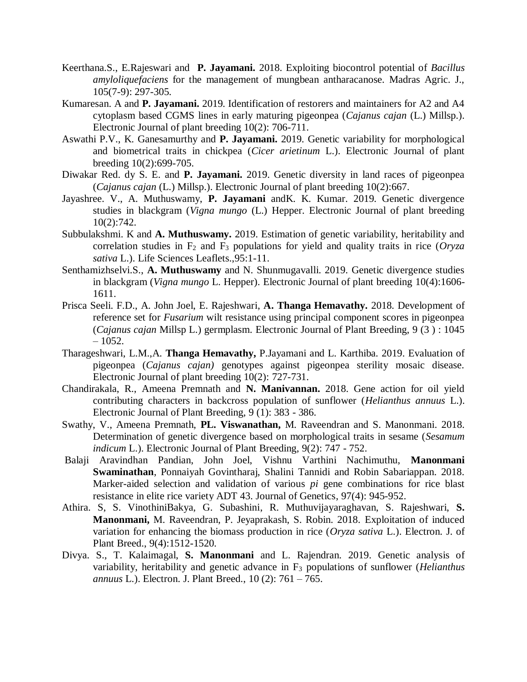- Keerthana.S., E.Rajeswari and **P. Jayamani.** 2018. Exploiting biocontrol potential of *Bacillus amyloliquefaciens* for the management of mungbean antharacanose. Madras Agric. J., 105(7-9): 297-305.
- Kumaresan. A and **P. Jayamani.** 2019. [Identification of restorers and maintainers for A2 and A4](http://www.ejplantbreeding.org/index.php/EJPB/article/view/3217)  [cytoplasm based CGMS lines in early maturing pigeonpea \(](http://www.ejplantbreeding.org/index.php/EJPB/article/view/3217)*Cajanus cajan* (L.) Millsp.). Electronic Journal of plant breeding 10(2): 706-711.
- Aswathi P.V., K. Ganesamurthy and **P. Jayamani.** 2019. Genetic variability for morphological and biometrical traits in chickpea (*Cicer arietinum* L.). Electronic Journal of plant breeding 10(2):699-705.
- Diwakar Red. dy S. E. and **P. Jayamani.** 2019. Genetic diversity in land races of pigeonpea (*Cajanus cajan* (L.) Millsp.). Electronic Journal of plant breeding 10(2):667.
- Jayashree. V., A. Muthuswamy, **P. Jayamani** andK. K. Kumar. 2019. Genetic divergence studies in blackgram (*Vigna mungo* (L.) Hepper. Electronic Journal of plant breeding 10(2):742.
- Subbulakshmi. K and **A. Muthuswamy.** 2019. Estimation of genetic variability, heritability and correlation studies in F<sup>2</sup> and F<sup>3</sup> populations for yield and quality traits in rice (*Oryza sativa* L.). Life Sciences Leaflets.,95:1-11.
- Senthamizhselvi.S., **A. Muthuswamy** and N. Shunmugavalli. 2019. Genetic divergence studies in blackgram (*Vigna mungo* L. Hepper). Electronic Journal of plant breeding 10(4):1606- 1611.
- Prisca Seeli. F.D., A. John Joel, E. Rajeshwari, **A. Thanga Hemavathy.** 2018. Development of reference set for *Fusarium* wilt resistance using principal component scores in pigeonpea (*Cajanus cajan* Millsp L.) germplasm. Electronic Journal of Plant Breeding, 9 (3 ) : 1045  $-1052.$
- Tharageshwari, L.M.,A. **Thanga Hemavathy,** P.Jayamani and L. Karthiba. 2019. Evaluation of pigeonpea (*Cajanus cajan)* genotypes against pigeonpea sterility mosaic disease. Electronic Journal of plant breeding 10(2): 727-731.
- Chandirakala, R., Ameena Premnath and **N. Manivannan.** 2018. Gene action for oil yield contributing characters in backcross population of sunflower (*Helianthus annuus* L.). Electronic Journal of Plant Breeding, 9 (1): 383 - 386.
- Swathy, V., Ameena Premnath, **PL. Viswanathan,** M. Raveendran and S. Manonmani. 2018. Determination of genetic divergence based on morphological traits in sesame (*Sesamum indicum* L.). Electronic Journal of Plant Breeding, 9(2): 747 - 752.
- Balaji Aravindhan Pandian, John Joel, Vishnu Varthini Nachimuthu, **Manonmani Swaminathan**, Ponnaiyah Govintharaj, Shalini Tannidi and Robin Sabariappan. 2018. Marker-aided selection and validation of various *pi* gene combinations for rice blast resistance in elite rice variety ADT 43. Journal of Genetics, 97(4): 945-952.
- Athira. S, S. VinothiniBakya, G. Subashini, R. Muthuvijayaraghavan, S. Rajeshwari, **S. Manonmani,** M. Raveendran, P. Jeyaprakash, S. Robin. 2018. [Exploitation of induced](http://ejplantbreeding.org/index.php/EJPB/article/view/2982)  [variation for enhancing the biomass production in rice \(](http://ejplantbreeding.org/index.php/EJPB/article/view/2982)*Oryza sativa* L.). Electron. J. of Plant Breed., 9(4):1512-1520.
- Divya. S., T. Kalaimagal, **S. Manonmani** and L. Rajendran. 2019. Genetic analysis of variability, heritability and genetic advance in F<sup>3</sup> populations of sunflower (*Helianthus annuus* L.). Electron. J. Plant Breed., 10 (2): 761 – 765.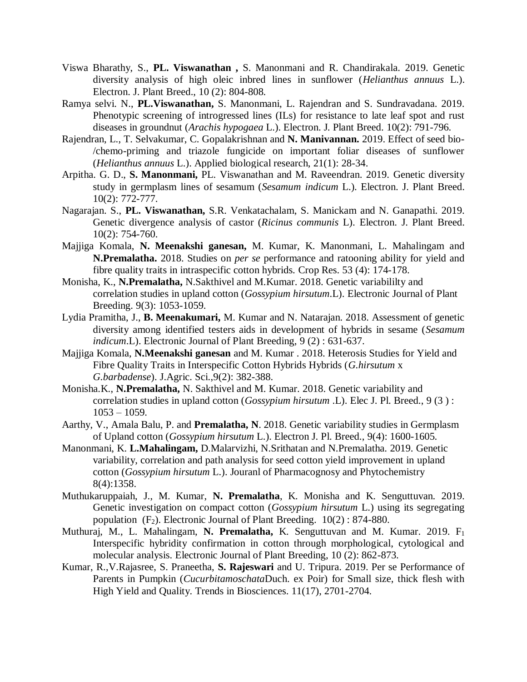- Viswa Bharathy, S., **PL. Viswanathan ,** S. Manonmani and R. Chandirakala. 2019. Genetic diversity analysis of high oleic inbred lines in sunflower (*Helianthus annuus* L.). Electron. J. Plant Breed., 10 (2): 804-808.
- Ramya selvi. N., **PL.Viswanathan,** S. Manonmani, L. Rajendran and S. Sundravadana. 2019. Phenotypic screening of introgressed lines (ILs) for resistance to late leaf spot and rust diseases in groundnut (*Arachis hypogaea* L.). Electron. J. Plant Breed. 10(2): 791-796.
- Rajendran, L., T. Selvakumar, C. Gopalakrishnan and **N. Manivannan.** 2019. Effect of seed bio- /chemo-priming and triazole fungicide on important foliar diseases of sunflower (*Helianthus annuus* L.). Applied biological research, 21(1): 28-34.
- Arpitha. G. D., **S. Manonmani,** PL. Viswanathan and M. Raveendran. 2019. Genetic diversity study in germplasm lines of sesamum (*Sesamum indicum* L.). Electron. J. Plant Breed. 10(2): 772-777.
- Nagarajan. S., **PL. Viswanathan,** S.R. Venkatachalam, S. Manickam and N. Ganapathi. 2019. Genetic divergence analysis of castor (*Ricinus communis* L). Electron. J. Plant Breed. 10(2): 754-760.
- Majjiga Komala, **N. Meenakshi ganesan,** M. Kumar, K. Manonmani, L. Mahalingam and **N.Premalatha.** 2018. Studies on *per se* performance and ratooning ability for yield and fibre quality traits in intraspecific cotton hybrids. Crop Res. 53 (4): 174-178.
- Monisha, K., **N.Premalatha,** N.Sakthivel and M.Kumar. 2018. Genetic variabililty and correlation studies in upland cotton (*Gossypium hirsutum*.L). Electronic Journal of Plant Breeding. 9(3): 1053-1059.
- Lydia Pramitha, J., **B. Meenakumari,** M. Kumar and N. Natarajan. 2018. Assessment of genetic diversity among identified testers aids in development of hybrids in sesame (*Sesamum indicum*.L). Electronic Journal of Plant Breeding, 9 (2) : 631-637.
- Majjiga Komala, **N.Meenakshi ganesan** and M. Kumar . 2018. Heterosis Studies for Yield and Fibre Quality Traits in Interspecific Cotton Hybrids Hybrids (*G.hirsutum* x *G.barbadense*). J.Agric. Sci.,9(2): 382-388.
- Monisha.K., **N.Premalatha,** N. Sakthivel and M. Kumar. 2018. Genetic variability and correlation studies in upland cotton (*Gossypium hirsutum* .L). Elec J. Pl. Breed., 9 (3 ) : 1053 – 1059.
- Aarthy, V., Amala Balu, P. and **Premalatha, N**. 2018. Genetic variability studies in Germplasm of Upland cotton (*Gossypium hirsutum* L.). Electron J. Pl. Breed., 9(4): 1600-1605.
- Manonmani, K. **L.Mahalingam,** D.Malarvizhi, N.Srithatan and N.Premalatha. 2019. Genetic variability, correlation and path analysis for seed cotton yield improvement in upland cotton (*Gossypium hirsutum* L.). Jouranl of Pharmacognosy and Phytochemistry 8(4):1358.
- Muthukaruppaiah, J., M. Kumar, **N. Premalatha**, K. Monisha and K. Senguttuvan. 2019. Genetic investigation on compact cotton (*Gossypium hirsutum* L.) using its segregating population  $(F_2)$ . Electronic Journal of Plant Breeding.  $10(2)$ : 874-880.
- Muthuraj, M., L. Mahalingam, N. Premalatha, K. Senguttuvan and M. Kumar. 2019. F<sub>1</sub> Interspecific hybridity confirmation in cotton through morphological, cytological and molecular analysis. Electronic Journal of Plant Breeding, 10 (2): 862-873.
- Kumar, R.,V.Rajasree, S. Praneetha, **S. Rajeswari** and U. Tripura. 2019. Per se Performance of Parents in Pumpkin (*Cucurbitamoschata*Duch. ex Poir) for Small size, thick flesh with High Yield and Quality. Trends in Biosciences. 11(17), 2701-2704.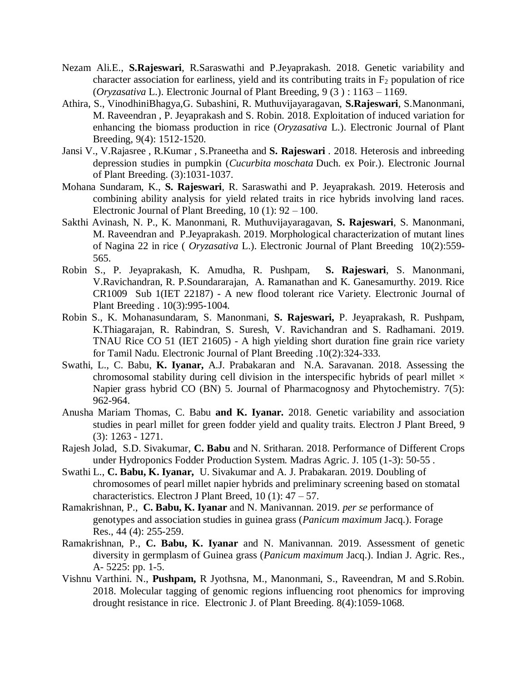- Nezam Ali.E., **S.Rajeswari**, R.Saraswathi and P.Jeyaprakash. 2018. Genetic variability and character association for earliness, yield and its contributing traits in  $F_2$  population of rice (*Oryzasativa* L.). Electronic Journal of Plant Breeding, 9 (3 ) : 1163 – 1169.
- Athira, S., VinodhiniBhagya,G. Subashini, R. Muthuvijayaragavan, **S.Rajeswari**, S.Manonmani, M. Raveendran , P. Jeyaprakash and S. Robin. 2018. Exploitation of induced variation for enhancing the biomass production in rice (*Oryzasativa* L.). Electronic Journal of Plant Breeding, 9(4): 1512-1520.
- Jansi V., V.Rajasree , R.Kumar , S.Praneetha and **S. Rajeswari** . 2018. Heterosis and inbreeding depression studies in pumpkin (*Cucurbita moschata* Duch. ex Poir.). Electronic Journal of Plant Breeding. (3):1031-1037.
- Mohana Sundaram, K., **S. Rajeswari**, R. Saraswathi and P. Jeyaprakash. 2019. Heterosis and combining ability analysis for yield related traits in rice hybrids involving land races. Electronic Journal of Plant Breeding,  $10(1)$ : 92 – 100.
- Sakthi Avinash, N. P., K. Manonmani, R. Muthuvijayaragavan, **S. Rajeswari**, S. Manonmani, M. Raveendran and P.Jeyaprakash. 2019. Morphological characterization of mutant lines of Nagina 22 in rice ( *Oryzasativa* L.). Electronic Journal of Plant Breeding 10(2):559- 565.
- Robin S., P. Jeyaprakash, K. Amudha, R. Pushpam, **S. Rajeswari**, S. Manonmani, V.Ravichandran, R. P.Soundararajan, A. Ramanathan and K. Ganesamurthy. 2019. Rice CR1009 Sub 1(IET 22187) - A new flood tolerant rice Variety. Electronic Journal of Plant Breeding . 10(3):995-1004.
- Robin S., K. Mohanasundaram, S. Manonmani, **S. Rajeswari,** P. Jeyaprakash, R. Pushpam, K.Thiagarajan, R. Rabindran, S. Suresh, V. Ravichandran and S. Radhamani. 2019. TNAU Rice CO 51 (IET 21605) - A high yielding short duration fine grain rice variety for Tamil Nadu. Electronic Journal of Plant Breeding .10(2):324-333.
- Swathi, L., C. Babu, **K. Iyanar,** A.J. Prabakaran and N.A. Saravanan. 2018. Assessing the chromosomal stability during cell division in the interspecific hybrids of pearl millet  $\times$ Napier grass hybrid CO (BN) 5. Journal of Pharmacognosy and Phytochemistry. 7(5): 962-964.
- Anusha Mariam Thomas, C. Babu **and K. Iyanar.** 2018. Genetic variability and association studies in pearl millet for green fodder yield and quality traits. Electron J Plant Breed, 9 (3): 1263 - 1271.
- Rajesh Jolad, S.D. Sivakumar, **C. Babu** and N. Sritharan. 2018. Performance of Different Crops under Hydroponics Fodder Production System. Madras Agric. J. 105 (1-3): 50-55 .
- Swathi L., **C. Babu, K. Iyanar,** U. Sivakumar and A. J. Prabakaran. 2019. Doubling of chromosomes of pearl millet napier hybrids and preliminary screening based on stomatal characteristics. Electron J Plant Breed,  $10(1)$ :  $47 - 57$ .
- Ramakrishnan, P., **C. Babu, K. Iyanar** and N. Manivannan. 2019. *per se* performance of genotypes and association studies in guinea grass (*Panicum maximum* Jacq.). Forage Res., 44 (4): 255-259.
- Ramakrishnan, P., **C. Babu, K. Iyanar** and N. Manivannan. 2019. Assessment of genetic diversity in germplasm of Guinea grass (*Panicum maximum* Jacq.). Indian J. Agric. Res., A- 5225: pp. 1-5.
- Vishnu Varthini. N., **Pushpam,** R Jyothsna, M., Manonmani, S., Raveendran, M and S.Robin. 2018. Molecular tagging of genomic regions influencing root phenomics for improving drought resistance in rice. Electronic J. of Plant Breeding. 8(4):1059-1068.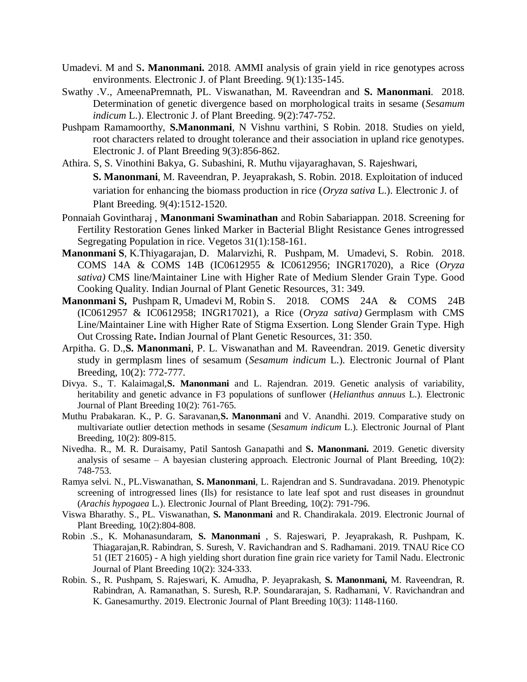- Umadevi. M and S**. Manonmani.** 2018. AMMI analysis of grain yield in rice genotypes across environments. Electronic J. of Plant Breeding. 9(1)*:*135-145.
- Swathy .V., AmeenaPremnath, PL. Viswanathan, M. Raveendran and **S. Manonmani**. 2018. Determination of genetic divergence based on morphological traits in sesame (*Sesamum indicum* L.). Electronic J. of Plant Breeding. 9(2):747-752.
- Pushpam Ramamoorthy, **S.Manonmani**, N Vishnu varthini, S Robin. 2018. Studies on yield, root characters related to drought tolerance and their association in upland rice genotypes. Electronic J. of Plant Breeding 9(3):856-862.
- Athira. S, S. Vinothini Bakya, G. Subashini, R. Muthu vijayaraghavan, S. Rajeshwari, **S. Manonmani**, M. Raveendran, P. Jeyaprakash, S. Robin. 2018. Exploitation of induced

variation for enhancing the biomass production in rice (*Oryza sativa* L.). Electronic J. of Plant Breeding*.* 9(4):1512-1520.

- Ponnaiah Govintharaj , **Manonmani Swaminathan** and Robin Sabariappan. 2018. Screening for Fertility Restoration Genes linked Marker in Bacterial Blight Resistance Genes introgressed Segregating Population in rice. Vegetos 31(1):158-161.
- **Manonmani S**, K.Thiyagarajan, D. Malarvizhi, R. Pushpam, M. Umadevi, S. Robin. 2018. COMS 14A & COMS 14B (IC0612955 & IC0612956; INGR17020), a Rice (*Oryza sativa)* CMS line/Maintainer Line with Higher Rate of Medium Slender Grain Type. Good Cooking Quality. Indian Journal of Plant Genetic Resources, 31: 349.
- **Manonmani S,** Pushpam R, Umadevi M, Robin S. 2018. COMS 24A & COMS 24B (IC0612957 & IC0612958; INGR17021), a Rice (*Oryza sativa)* Germplasm with CMS Line/Maintainer Line with Higher Rate of Stigma Exsertion. Long Slender Grain Type. High Out Crossing Rate**.** Indian Journal of Plant Genetic Resources, 31: 350.
- Arpitha. G. D.,**S. Manonmani**, P. L. Viswanathan and M. Raveendran. 2019. Genetic diversity study in germplasm lines of sesamum (*Sesamum indicum* L.). Electronic Journal of Plant Breeding, 10(2): 772-777.
- Divya. S., T. Kalaimagal,**S. Manonmani** and L. Rajendran. 2019. Genetic analysis of variability, heritability and genetic advance in F3 populations of sunflower (*Helianthus annuus* L.). Electronic Journal of Plant Breeding 10(2): 761-765.
- Muthu Prabakaran. K., P. G. Saravanan,**S. Manonmani** and V. Anandhi. 2019. Comparative study on multivariate outlier detection methods in sesame (*Sesamum indicum* L.). Electronic Journal of Plant Breeding, 10(2): 809-815.
- Nivedha. R., M. R. Duraisamy, Patil Santosh Ganapathi and **S. Manonmani.** 2019. Genetic diversity analysis of sesame  $-$  A bayesian clustering approach. Electronic Journal of Plant Breeding,  $10(2)$ : 748-753.
- Ramya selvi. N., PL.Viswanathan, **S. Manonmani**, L. Rajendran and S. Sundravadana. 2019. Phenotypic screening of introgressed lines (Ils) for resistance to late leaf spot and rust diseases in groundnut (*Arachis hypogaea* L.). Electronic Journal of Plant Breeding, 10(2): 791-796.
- Viswa Bharathy. S., PL. Viswanathan, **S. Manonmani** and R. Chandirakala. 2019. Electronic Journal of Plant Breeding, 10(2):804-808.
- Robin .S., K. Mohanasundaram, **S. Manonmani** , S. Rajeswari, P. Jeyaprakash, R. Pushpam, K. Thiagarajan,R. Rabindran, S. Suresh, V. Ravichandran and S. Radhamani. 2019. TNAU Rice CO 51 (IET 21605) - A high yielding short duration fine grain rice variety for Tamil Nadu. Electronic Journal of Plant Breeding 10(2): 324-333.
- Robin. S., R. Pushpam, S. Rajeswari, K. Amudha, P. Jeyaprakash, **S. Manonmani,** M. Raveendran, R. Rabindran, A. Ramanathan, S. Suresh, R.P. Soundararajan, S. Radhamani, V. Ravichandran and K. Ganesamurthy. 2019. Electronic Journal of Plant Breeding 10(3): 1148-1160.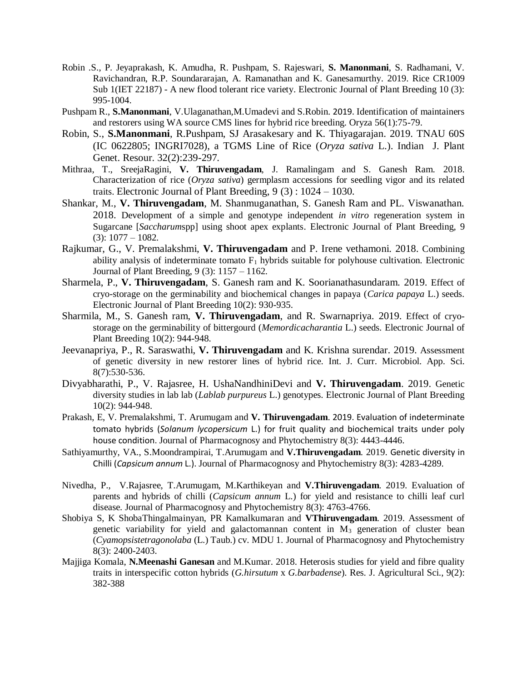- Robin .S., P. Jeyaprakash, K. Amudha, R. Pushpam, S. Rajeswari, **S. Manonmani**, S. Radhamani, V. Ravichandran, R.P. Soundararajan, A. Ramanathan and K. Ganesamurthy. 2019. Rice CR1009 Sub 1(IET 22187) - A new flood tolerant rice variety. Electronic Journal of Plant Breeding 10 (3): 995-1004.
- Pushpam R., **S.Manonmani**, V.Ulaganathan,M.Umadevi and S.Robin. 2019. Identification of maintainers and restorers using WA source CMS lines for hybrid rice breeding. Oryza 56(1):75-79.
- Robin, S., **S.Manonmani**, R.Pushpam, SJ Arasakesary and K. Thiyagarajan. 2019. TNAU 60S (IC 0622805; INGRI7028), a TGMS Line of Rice (*Oryza sativa* L.). Indian J. Plant Genet. Resour. 32(2):239-297.
- Mithraa, T., SreejaRagini, **V. Thiruvengadam**, J. Ramalingam and S. Ganesh Ram. 2018. Characterization of rice (*Oryza sativa*) germplasm accessions for seedling vigor and its related traits. Electronic Journal of Plant Breeding, 9 (3) : 1024 – 1030.
- Shankar, M., **V. Thiruvengadam**, M. Shanmuganathan, S. Ganesh Ram and PL. Viswanathan. 2018. Development of a simple and genotype independent *in vitro* regeneration system in Sugarcane [*Saccharum*spp] using shoot apex explants. Electronic Journal of Plant Breeding, 9  $(3): 1077 - 1082.$
- Rajkumar, G., V. Premalakshmi, **V. Thiruvengadam** and P. Irene vethamoni. 2018. Combining ability analysis of indeterminate tomato  $F_1$  hybrids suitable for polyhouse cultivation. Electronic Journal of Plant Breeding, 9 (3): 1157 – 1162.
- Sharmela, P., **V. Thiruvengadam**, S. Ganesh ram and K. Soorianathasundaram. 2019. Effect of cryo-storage on the germinability and biochemical changes in papaya (*Carica papaya* L.) seeds. Electronic Journal of Plant Breeding 10(2): 930-935.
- Sharmila, M., S. Ganesh ram, **V. Thiruvengadam**, and R. Swarnapriya. 2019. Effect of cryostorage on the germinability of bittergourd (*Memordicacharantia* L.) seeds. Electronic Journal of Plant Breeding 10(2): 944-948.
- Jeevanapriya, P., R. Saraswathi, **V. Thiruvengadam** and K. Krishna surendar. 2019. Assessment of genetic diversity in new restorer lines of hybrid rice. Int. J. Curr. Microbiol. App. Sci. 8(7):530-536.
- Divyabharathi, P., V. Rajasree, H. UshaNandhiniDevi and **V. Thiruvengadam**. 2019. Genetic diversity studies in lab lab (*Lablab purpureus* L.) genotypes. Electronic Journal of Plant Breeding 10(2): 944-948.
- Prakash, E, V. Premalakshmi, T. Arumugam and **V. Thiruvengadam**. 2019. Evaluation of indeterminate tomato hybrids (*Solanum lycopersicum* L.) for fruit quality and biochemical traits under poly house condition. Journal of Pharmacognosy and Phytochemistry 8(3): 4443-4446.
- Sathiyamurthy, VA., S.Moondrampirai, T.Arumugam and **V.Thiruvengadam**. 2019. Genetic diversity in Chilli (*Capsicum annum* L.). Journal of Pharmacognosy and Phytochemistry 8(3): 4283-4289.
- Nivedha, P., V.Rajasree, T.Arumugam, M.Karthikeyan and **V.Thiruvengadam**. 2019. Evaluation of parents and hybrids of chilli (*Capsicum annum* L.) for yield and resistance to chilli leaf curl disease. Journal of Pharmacognosy and Phytochemistry 8(3): 4763-4766.
- Shobiya S, K ShobaThingalmainyan, PR Kamalkumaran and **VThiruvengadam**. 2019. Assessment of genetic variability for yield and galactomannan content in  $M_3$  generation of cluster bean (*Cyamopsistetragonolaba* (L.) Taub.) cv. MDU 1. Journal of Pharmacognosy and Phytochemistry 8(3): 2400-2403.
- Majjiga Komala, **N.Meenashi Ganesan** and M.Kumar. 2018. Heterosis studies for yield and fibre quality traits in interspecific cotton hybrids (*G.hirsutum* x *G.barbadense*). Res. J. Agricultural Sci., 9(2): 382-388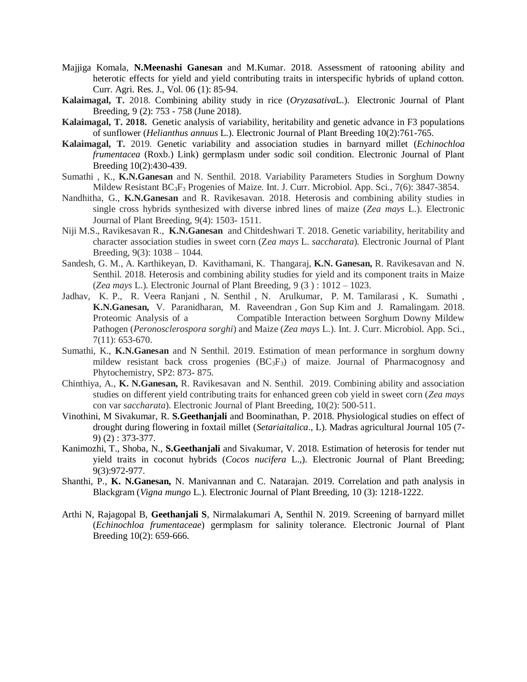- Majjiga Komala, **N.Meenashi Ganesan** and M.Kumar. 2018. Assessment of ratooning ability and heterotic effects for yield and yield contributing traits in interspecific hybrids of upland cotton. Curr. Agri. Res. J., Vol. 06 (1): 85-94.
- **Kalaimagal, T.** 2018. Combining ability study in rice (*Oryzasativa*L.). Electronic Journal of Plant Breeding, 9 (2): 753 - 758 (June 2018).
- **Kalaimagal, T. 2018.** Genetic analysis of variability, heritability and genetic advance in F3 populations of sunflower (*Helianthus annuus* L.). Electronic Journal of Plant Breeding 10(2):761-765.
- **Kalaimagal, T.** 2019. Genetic variability and association studies in barnyard millet (*Echinochloa frumentacea* (Roxb.) Link) germplasm under sodic soil condition. Electronic Journal of Plant Breeding 10(2):430-439.
- Sumathi , K., **K.N.Ganesan** and N. Senthil. 2018. Variability Parameters Studies in Sorghum Downy Mildew Resistant BC3F<sup>3</sup> Progenies of Maize. Int. J. Curr. Microbiol. App. Sci., 7(6): 3847-3854.
- Nandhitha, G., **K.N.Ganesan** and R. Ravikesavan. 2018. Heterosis and combining ability studies in single cross hybrids synthesized with diverse inbred lines of maize (*Zea mays* L.). Electronic Journal of Plant Breeding, 9(4): 1503- 1511.
- Niji M.S., Ravikesavan R., **K.N.Ganesan** and Chitdeshwari T. 2018. Genetic variability, heritability and character association studies in sweet corn (Z*ea mays* L. *saccharata*). Electronic Journal of Plant Breeding, 9(3): 1038 – 1044.
- Sandesh, G. M., A. Karthikeyan, D. Kavithamani, K. Thangaraj, **K.N. Ganesan,** R. Ravikesavan and N. Senthil. 2018. Heterosis and combining ability studies for yield and its component traits in Maize (*Zea mays* L.). Electronic Journal of Plant Breeding, 9 (3 ) : 1012 – 1023.
- Jadhav, K. P., R. Veera Ranjani , N. Senthil , N. Arulkumar, P. M. Tamilarasi , K. Sumathi , **K.N.Ganesan,** V. Paranidharan, M. Raveendran , Gon Sup Kim and J. Ramalingam. 2018. Proteomic Analysis of a Compatible Interaction between Sorghum Downy Mildew Pathogen (*Peronosclerospora sorghi*) and Maize (*Zea mays* L.). Int. J. Curr. Microbiol. App. Sci., 7(11): 653-670.
- Sumathi, K., **K.N.Ganesan** and N Senthil. 2019. Estimation of mean performance in sorghum downy mildew resistant back cross progenies  $(BC<sub>3</sub>F<sub>3</sub>)$  of maize. Journal of Pharmacognosy and Phytochemistry, SP2: 873- 875.
- Chinthiya, A., **K. N.Ganesan,** R. Ravikesavan and N. Senthil. 2019. Combining ability and association studies on different yield contributing traits for enhanced green cob yield in sweet corn (*Zea mays* con var *saccharata*). Electronic Journal of Plant Breeding, 10(2): 500-511.
- Vinothini, M Sivakumar, R. **S.Geethanjali** and Boominathan, P. 2018. Physiological studies on effect of drought during flowering in foxtail millet (*Setariaitalica*., L). Madras agricultural Journal 105 (7- 9) (2) : 373-377.
- Kanimozhi, T., Shoba, N., **S.Geethanjali** and Sivakumar, V. 2018. Estimation of heterosis for tender nut yield traits in coconut hybrids (*Cocos nucifera* L.,). Electronic Journal of Plant Breeding; 9(3):972-977.
- Shanthi, P., **K. N.Ganesan,** N. Manivannan and C. Natarajan. 2019. Correlation and path analysis in Blackgram (*Vigna mungo* L.). Electronic Journal of Plant Breeding, 10 (3): 1218-1222.
- Arthi N, Rajagopal B, **Geethanjali S**, Nirmalakumari A, Senthil N. 2019. Screening of barnyard millet (*Echinochloa frumentaceae*) germplasm for salinity tolerance. Electronic Journal of Plant Breeding 10(2): 659-666.